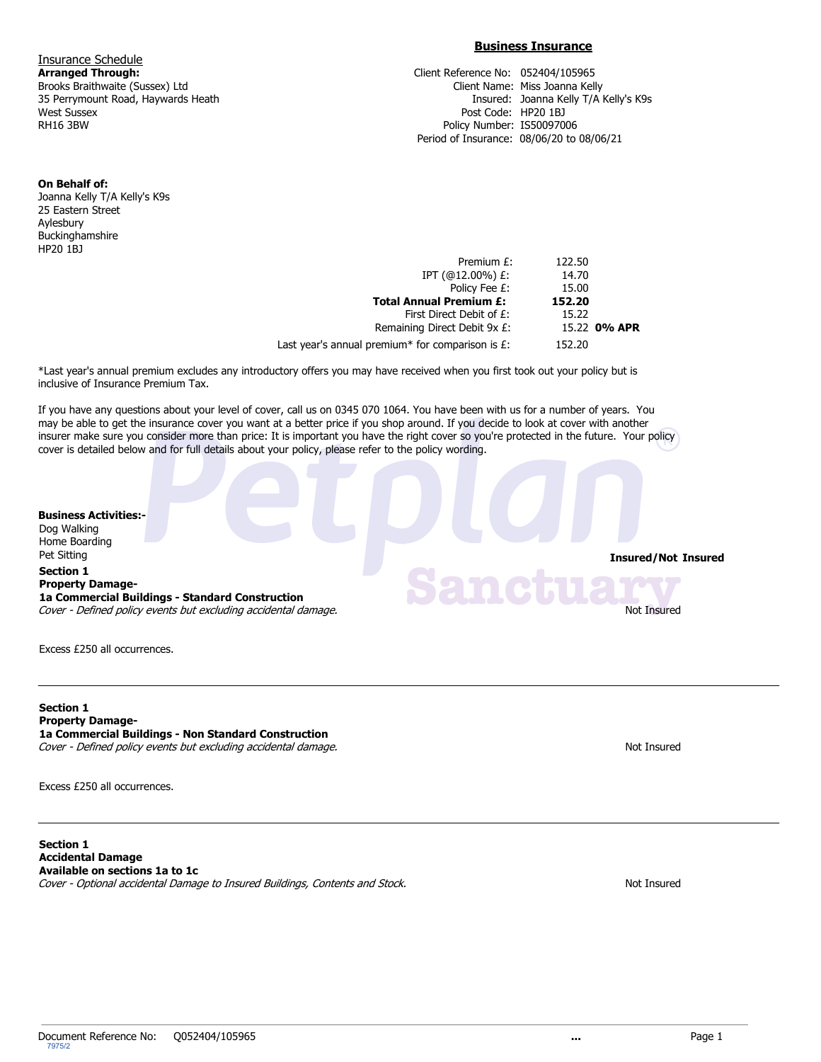**Insurance Schedule**<br>**Arranged Through:** West Sussex Post Code: HP20 1BJ

## **Business Insurance**

**Arranged Through:** Client Reference No: 052404/105965 Brooks Braithwaite (Sussex) Ltd **Client II** Client Name: Miss Joanna Kelly 35 Perrymount Road, Haywards Heath Insured: Joanna Kelly T/A Kelly's K9s Policy Number: IS50097006 Period of Insurance: 08/06/20 to 08/06/21

## **On Behalf of:**

Joanna Kelly T/A Kelly's K9s 25 Eastern Street Aylesbury Buckinghamshire HP20 1BJ

|              | 122.50 | Premium £:                                          |
|--------------|--------|-----------------------------------------------------|
|              | 14.70  | IPT $(@12.00\%)$ £:                                 |
|              | 15.00  | Policy Fee £:                                       |
|              | 152.20 | <b>Total Annual Premium £:</b>                      |
|              | 15.22  | First Direct Debit of £:                            |
| 15.22 0% APR |        | Remaining Direct Debit 9x £:                        |
|              | 152.20 | Last year's annual premium* for comparison is $E$ : |

\*Last year's annual premium excludes any introductory offers you may have received when you first took out your policy but is inclusive of Insurance Premium Tax.

If you have any questions about your level of cover, call us on 0345 070 1064. You have been with us for a number of years. You may be able to get the insurance cover you want at a better price if you shop around. If you decide to look at cover with another insurer make sure you consider more than price: It is important you have the right cover so you're protected in the future. Your policy cover is detailed below and for full details about your policy, please refer to the policy wording.

## **Business Activities:-**

Dog Walking Home Boarding **Pet Sitting Insured/Not Insured** 

## **Section 1 Property Damage-**

**1a Commercial Buildings - Standard Construction** Cover - Defined policy events but excluding accidental damage. Not Insured and The Unit of The Insured and Insured

Excess £250 all occurrences.

**Section 1 Property Damage-1a Commercial Buildings - Non Standard Construction** Cover - Defined policy events but excluding accidental damage. Not Insured

Excess £250 all occurrences.

**Section 1 Accidental Damage Available on sections 1a to 1c** Cover - Optional accidental Damage to Insured Buildings, Contents and Stock. Not Insured Stock and Stock and Stock.

**Sanctuary**<br>Not Insured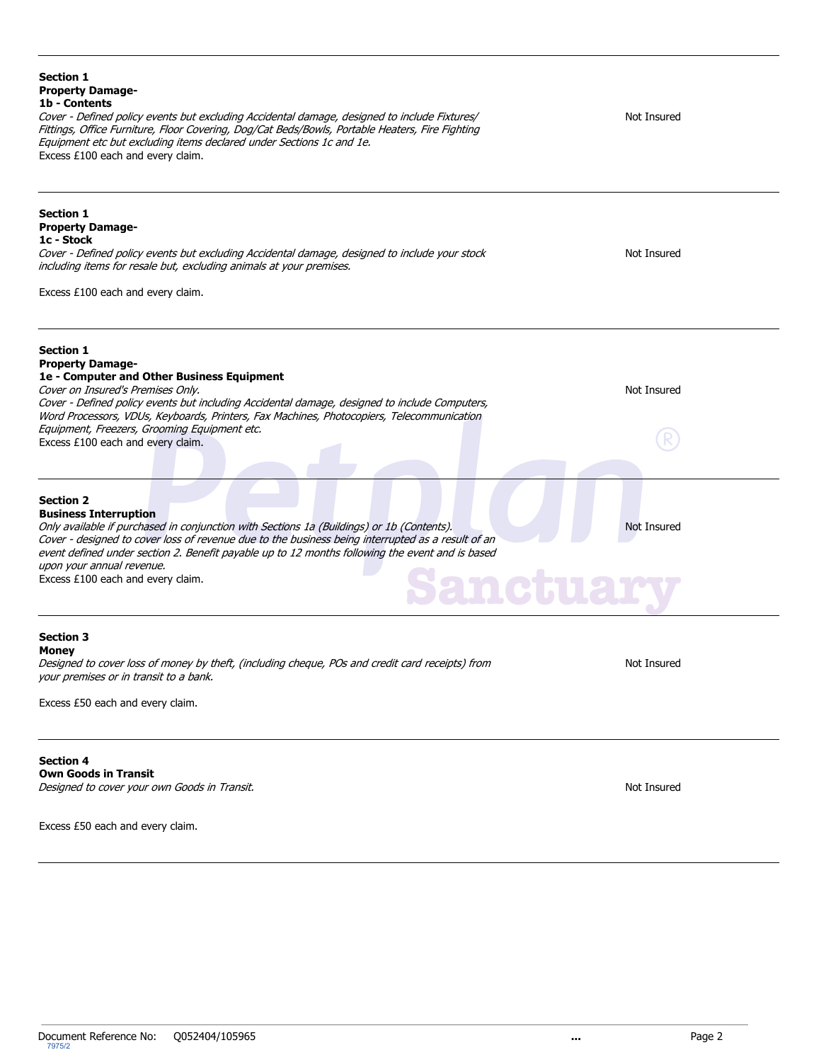| <b>Section 1</b><br><b>Property Damage-</b><br>1b - Contents<br>Cover - Defined policy events but excluding Accidental damage, designed to include Fixtures/<br>Fittings, Office Furniture, Floor Covering, Dog/Cat Beds/Bowls, Portable Heaters, Fire Fighting<br>Equipment etc but excluding items declared under Sections 1c and 1e.<br>Excess £100 each and every claim.                                            | Not Insured |
|-------------------------------------------------------------------------------------------------------------------------------------------------------------------------------------------------------------------------------------------------------------------------------------------------------------------------------------------------------------------------------------------------------------------------|-------------|
| <b>Section 1</b><br><b>Property Damage-</b><br>1c - Stock<br>Cover - Defined policy events but excluding Accidental damage, designed to include your stock<br>including items for resale but, excluding animals at your premises.<br>Excess £100 each and every claim.                                                                                                                                                  | Not Insured |
| <b>Section 1</b><br><b>Property Damage-</b><br>1e - Computer and Other Business Equipment<br>Cover on Insured's Premises Only.<br>Cover - Defined policy events but including Accidental damage, designed to include Computers,<br>Word Processors, VDUs, Keyboards, Printers, Fax Machines, Photocopiers, Telecommunication<br>Equipment, Freezers, Grooming Equipment etc.<br>Excess £100 each and every claim.       | Not Insured |
| <b>Section 2</b><br><b>Business Interruption</b><br>Only available if purchased in conjunction with Sections 1a (Buildings) or 1b (Contents).<br>Cover - designed to cover loss of revenue due to the business being interrupted as a result of an<br>event defined under section 2. Benefit payable up to 12 months following the event and is based<br>upon your annual revenue.<br>Excess £100 each and every claim. | Not Insured |
| <b>Section 3</b><br>Money<br>Designed to cover loss of money by theft, (including cheque, POs and credit card receipts) from<br>your premises or in transit to a bank.<br>Excess £50 each and every claim.                                                                                                                                                                                                              | Not Insured |
| <b>Section 4</b><br><b>Own Goods in Transit</b><br>Designed to cover your own Goods in Transit.<br>Excess £50 each and every claim.                                                                                                                                                                                                                                                                                     | Not Insured |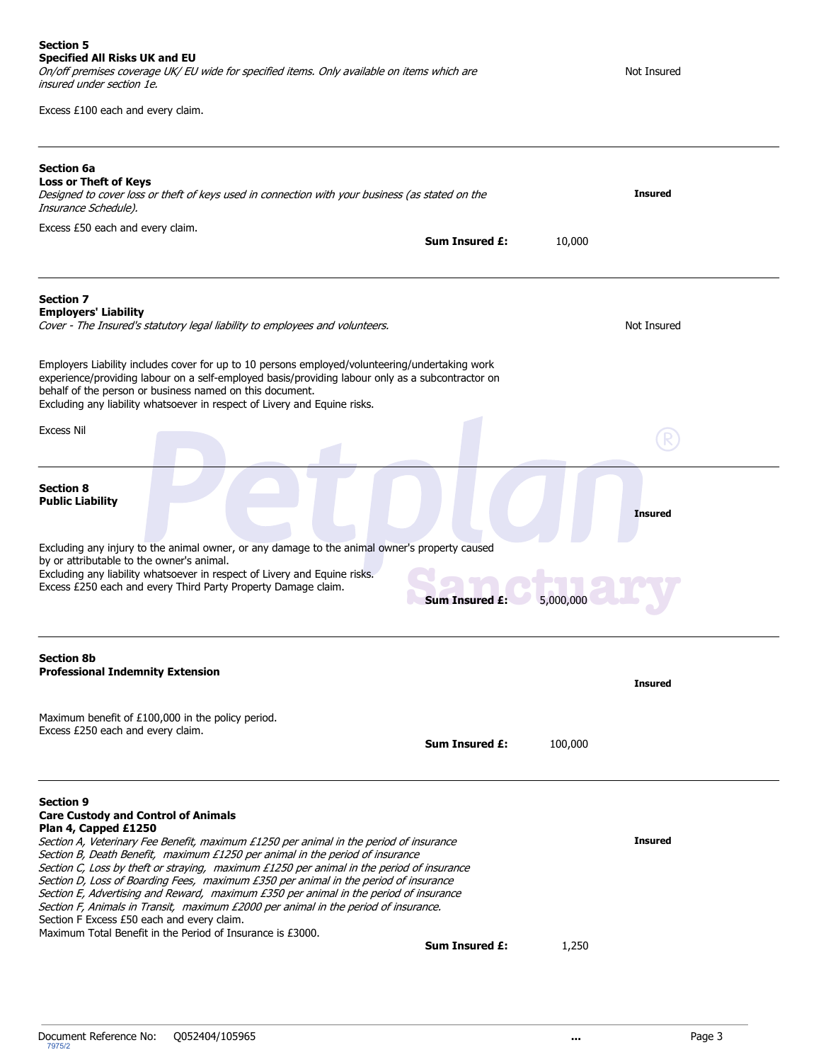Excess £100 each and every claim.

| <b>Section 6a</b><br><b>Loss or Theft of Keys</b><br>Designed to cover loss or theft of keys used in connection with your business (as stated on the<br>Insurance Schedule).                                                                                                                                                                                                                                                                                                                                                                                                                                                                                                         |                       | <b>Insured</b> |
|--------------------------------------------------------------------------------------------------------------------------------------------------------------------------------------------------------------------------------------------------------------------------------------------------------------------------------------------------------------------------------------------------------------------------------------------------------------------------------------------------------------------------------------------------------------------------------------------------------------------------------------------------------------------------------------|-----------------------|----------------|
| Excess £50 each and every claim.                                                                                                                                                                                                                                                                                                                                                                                                                                                                                                                                                                                                                                                     | <b>Sum Insured £:</b> | 10,000         |
|                                                                                                                                                                                                                                                                                                                                                                                                                                                                                                                                                                                                                                                                                      |                       |                |
| <b>Section 7</b><br><b>Employers' Liability</b><br>Cover - The Insured's statutory legal liability to employees and volunteers.                                                                                                                                                                                                                                                                                                                                                                                                                                                                                                                                                      |                       | Not Insured    |
| Employers Liability includes cover for up to 10 persons employed/volunteering/undertaking work<br>experience/providing labour on a self-employed basis/providing labour only as a subcontractor on<br>behalf of the person or business named on this document.<br>Excluding any liability whatsoever in respect of Livery and Equine risks.                                                                                                                                                                                                                                                                                                                                          |                       |                |
| <b>Excess Nil</b>                                                                                                                                                                                                                                                                                                                                                                                                                                                                                                                                                                                                                                                                    |                       |                |
| <b>Section 8</b><br><b>Public Liability</b>                                                                                                                                                                                                                                                                                                                                                                                                                                                                                                                                                                                                                                          |                       | <b>Insured</b> |
| Excluding any injury to the animal owner, or any damage to the animal owner's property caused<br>by or attributable to the owner's animal.<br>Excluding any liability whatsoever in respect of Livery and Equine risks.<br>Excess £250 each and every Third Party Property Damage claim.                                                                                                                                                                                                                                                                                                                                                                                             | <b>Sum Insured £:</b> | 5,000,000      |
| <b>Section 8b</b><br><b>Professional Indemnity Extension</b>                                                                                                                                                                                                                                                                                                                                                                                                                                                                                                                                                                                                                         |                       | <b>Insured</b> |
| Maximum benefit of £100,000 in the policy period.<br>Excess £250 each and every claim.                                                                                                                                                                                                                                                                                                                                                                                                                                                                                                                                                                                               | <b>Sum Insured £:</b> | 100,000        |
| <b>Section 9</b><br><b>Care Custody and Control of Animals</b><br>Plan 4, Capped £1250<br>Section A, Veterinary Fee Benefit, maximum £1250 per animal in the period of insurance<br>Section B, Death Benefit, maximum £1250 per animal in the period of insurance<br>Section C, Loss by theft or straying, maximum £1250 per animal in the period of insurance<br>Section D, Loss of Boarding Fees, maximum £350 per animal in the period of insurance<br>Section E, Advertising and Reward, maximum £350 per animal in the period of insurance<br>Section F, Animals in Transit, maximum £2000 per animal in the period of insurance.<br>Section F Excess £50 each and every claim. |                       | <b>Insured</b> |
| Maximum Total Benefit in the Period of Insurance is £3000.                                                                                                                                                                                                                                                                                                                                                                                                                                                                                                                                                                                                                           | <b>Sum Insured £:</b> | 1,250          |